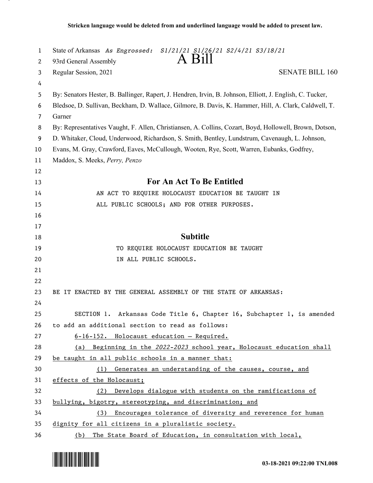| 1<br>2         | State of Arkansas As Engrossed: S1/21/21 S1/26/21 S2/4/21 S3/18/21<br>A Bill<br>93rd General Assembly     |
|----------------|-----------------------------------------------------------------------------------------------------------|
|                | Regular Session, 2021<br><b>SENATE BILL 160</b>                                                           |
| 3<br>4         |                                                                                                           |
| 5              | By: Senators Hester, B. Ballinger, Rapert, J. Hendren, Irvin, B. Johnson, Elliott, J. English, C. Tucker, |
| 6              | Bledsoe, D. Sullivan, Beckham, D. Wallace, Gilmore, B. Davis, K. Hammer, Hill, A. Clark, Caldwell, T.     |
| $\overline{7}$ | Garner                                                                                                    |
| 8              | By: Representatives Vaught, F. Allen, Christiansen, A. Collins, Cozart, Boyd, Hollowell, Brown, Dotson,   |
| 9              | D. Whitaker, Cloud, Underwood, Richardson, S. Smith, Bentley, Lundstrum, Cavenaugh, L. Johnson,           |
| 10             | Evans, M. Gray, Crawford, Eaves, McCullough, Wooten, Rye, Scott, Warren, Eubanks, Godfrey,                |
| 11             | Maddox, S. Meeks, Perry, Penzo                                                                            |
| 12             |                                                                                                           |
| 13             | For An Act To Be Entitled                                                                                 |
| 14             | AN ACT TO REQUIRE HOLOCAUST EDUCATION BE TAUGHT IN                                                        |
| 15             | ALL PUBLIC SCHOOLS; AND FOR OTHER PURPOSES.                                                               |
| 16             |                                                                                                           |
| 17             |                                                                                                           |
| 18             | <b>Subtitle</b>                                                                                           |
| 19             | TO REQUIRE HOLOCAUST EDUCATION BE TAUGHT                                                                  |
| 20             | IN ALL PUBLIC SCHOOLS.                                                                                    |
| 21             |                                                                                                           |
| 22             |                                                                                                           |
| 23             | BE IT ENACTED BY THE GENERAL ASSEMBLY OF THE STATE OF ARKANSAS:                                           |
| 24             |                                                                                                           |
| 25             | Arkansas Code Title 6, Chapter 16, Subchapter 1, is amended<br>SECTION 1.                                 |
| 26             | to add an additional section to read as follows:                                                          |
| 27             | 6-16-152. Holocaust education - Required.                                                                 |
| 28             | (a) Beginning in the 2022-2023 school year, Holocaust education shall                                     |
| 29             | be taught in all public schools in a manner that:                                                         |
| 30             | (1) Generates an understanding of the causes, course, and                                                 |
| 31             | effects of the Holocaust;                                                                                 |
| 32             | (2) Develops dialogue with students on the ramifications of                                               |
| 33             | bullying, bigotry, stereotyping, and discrimination; and                                                  |
| 34             | (3) Encourages tolerance of diversity and reverence for human                                             |
| 35             | dignity for all citizens in a pluralistic society.                                                        |
| 36             | The State Board of Education, in consultation with local,<br>(b)                                          |